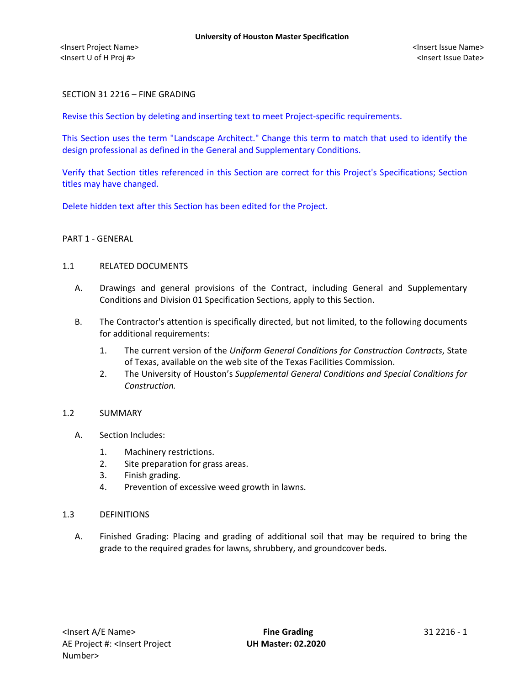## SECTION 31 2216 – FINE GRADING

Revise this Section by deleting and inserting text to meet Project-specific requirements.

This Section uses the term "Landscape Architect." Change this term to match that used to identify the design professional as defined in the General and Supplementary Conditions.

Verify that Section titles referenced in this Section are correct for this Project's Specifications; Section titles may have changed.

Delete hidden text after this Section has been edited for the Project.

#### PART 1 - GENERAL

#### 1.1 RELATED DOCUMENTS

- A. Drawings and general provisions of the Contract, including General and Supplementary Conditions and Division 01 Specification Sections, apply to this Section.
- B. The Contractor's attention is specifically directed, but not limited, to the following documents for additional requirements:
	- 1. The current version of the *Uniform General Conditions for Construction Contracts*, State of Texas, available on the web site of the Texas Facilities Commission.
	- 2. The University of Houston's *Supplemental General Conditions and Special Conditions for Construction.*

#### 1.2 SUMMARY

- A. Section Includes:
	- 1. Machinery restrictions.
	- 2. Site preparation for grass areas.
	- 3. Finish grading.
	- 4. Prevention of excessive weed growth in lawns.

#### 1.3 DEFINITIONS

A. Finished Grading: Placing and grading of additional soil that may be required to bring the grade to the required grades for lawns, shrubbery, and groundcover beds.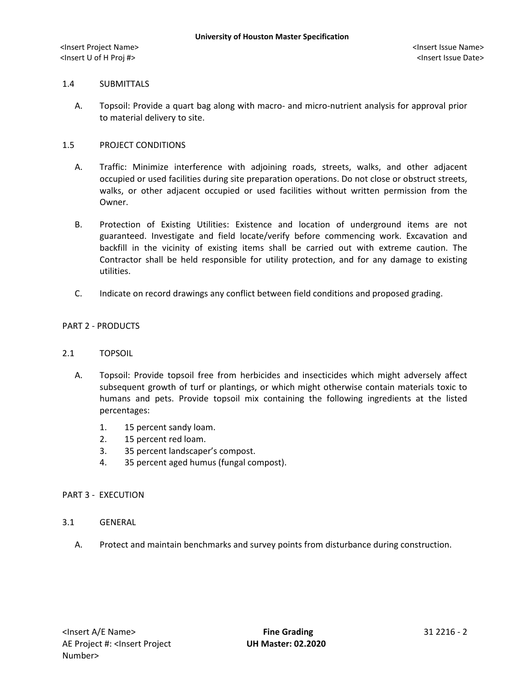## 1.4 SUBMITTALS

A. Topsoil: Provide a quart bag along with macro- and micro-nutrient analysis for approval prior to material delivery to site.

## 1.5 PROJECT CONDITIONS

- A. Traffic: Minimize interference with adjoining roads, streets, walks, and other adjacent occupied or used facilities during site preparation operations. Do not close or obstruct streets, walks, or other adjacent occupied or used facilities without written permission from the Owner.
- B. Protection of Existing Utilities: Existence and location of underground items are not guaranteed. Investigate and field locate/verify before commencing work. Excavation and backfill in the vicinity of existing items shall be carried out with extreme caution. The Contractor shall be held responsible for utility protection, and for any damage to existing utilities.
- C. Indicate on record drawings any conflict between field conditions and proposed grading.

## PART 2 - PRODUCTS

#### 2.1 TOPSOIL

- A. Topsoil: Provide topsoil free from herbicides and insecticides which might adversely affect subsequent growth of turf or plantings, or which might otherwise contain materials toxic to humans and pets. Provide topsoil mix containing the following ingredients at the listed percentages:
	- 1. 15 percent sandy loam.
	- 2. 15 percent red loam.
	- 3. 35 percent landscaper's compost.
	- 4. 35 percent aged humus (fungal compost).

#### PART 3 - EXECUTION

- 3.1 GENERAL
	- A. Protect and maintain benchmarks and survey points from disturbance during construction.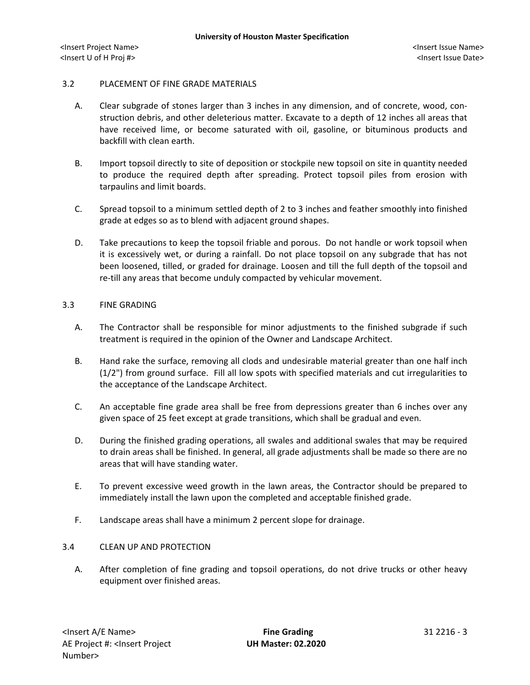## 3.2 PLACEMENT OF FINE GRADE MATERIALS

- A. Clear subgrade of stones larger than 3 inches in any dimension, and of concrete, wood, construction debris, and other deleterious matter. Excavate to a depth of 12 inches all areas that have received lime, or become saturated with oil, gasoline, or bituminous products and backfill with clean earth.
- B. Import topsoil directly to site of deposition or stockpile new topsoil on site in quantity needed to produce the required depth after spreading. Protect topsoil piles from erosion with tarpaulins and limit boards.
- C. Spread topsoil to a minimum settled depth of 2 to 3 inches and feather smoothly into finished grade at edges so as to blend with adjacent ground shapes.
- D. Take precautions to keep the topsoil friable and porous. Do not handle or work topsoil when it is excessively wet, or during a rainfall. Do not place topsoil on any subgrade that has not been loosened, tilled, or graded for drainage. Loosen and till the full depth of the topsoil and re-till any areas that become unduly compacted by vehicular movement.

## 3.3 FINE GRADING

- A. The Contractor shall be responsible for minor adjustments to the finished subgrade if such treatment is required in the opinion of the Owner and Landscape Architect.
- B. Hand rake the surface, removing all clods and undesirable material greater than one half inch (1/2") from ground surface. Fill all low spots with specified materials and cut irregularities to the acceptance of the Landscape Architect.
- C. An acceptable fine grade area shall be free from depressions greater than 6 inches over any given space of 25 feet except at grade transitions, which shall be gradual and even.
- D. During the finished grading operations, all swales and additional swales that may be required to drain areas shall be finished. In general, all grade adjustments shall be made so there are no areas that will have standing water.
- E. To prevent excessive weed growth in the lawn areas, the Contractor should be prepared to immediately install the lawn upon the completed and acceptable finished grade.
- F. Landscape areas shall have a minimum 2 percent slope for drainage.

# 3.4 CLEAN UP AND PROTECTION

A. After completion of fine grading and topsoil operations, do not drive trucks or other heavy equipment over finished areas.